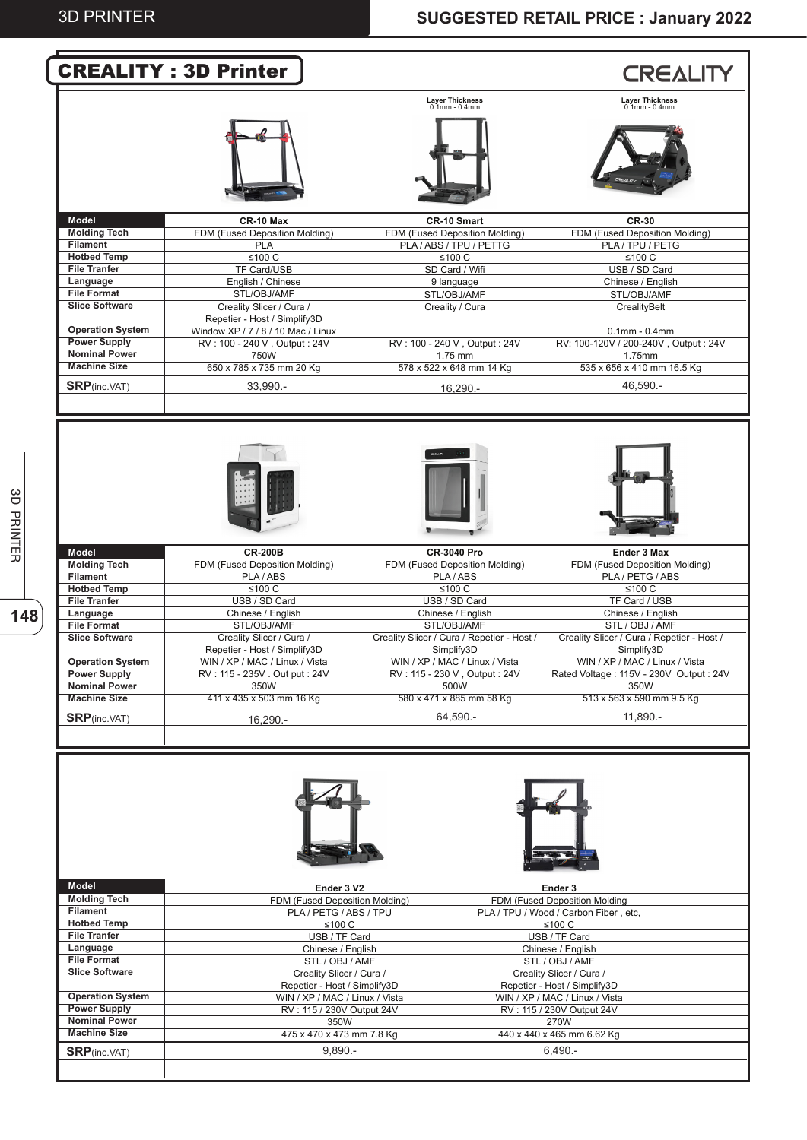|                                                                                                                                                                                                                                                                                                                                                                                                                                                                 | <b>CREALITY: 3D Printer</b>                                        |                                                          |                                                                                                                      |
|-----------------------------------------------------------------------------------------------------------------------------------------------------------------------------------------------------------------------------------------------------------------------------------------------------------------------------------------------------------------------------------------------------------------------------------------------------------------|--------------------------------------------------------------------|----------------------------------------------------------|----------------------------------------------------------------------------------------------------------------------|
|                                                                                                                                                                                                                                                                                                                                                                                                                                                                 |                                                                    |                                                          | <b>CREALITY</b>                                                                                                      |
|                                                                                                                                                                                                                                                                                                                                                                                                                                                                 |                                                                    | <b>Layer Thickness</b><br>$0.1$ mm - $0.4$ mm            | Layer Thickness<br>0.1mm - 0.4mm                                                                                     |
|                                                                                                                                                                                                                                                                                                                                                                                                                                                                 |                                                                    |                                                          |                                                                                                                      |
| Model                                                                                                                                                                                                                                                                                                                                                                                                                                                           | CR-10 Max                                                          | CR-10 Smart                                              | <b>CR-30</b>                                                                                                         |
| <b>Molding Tech</b>                                                                                                                                                                                                                                                                                                                                                                                                                                             | FDM (Fused Deposition Molding)                                     | FDM (Fused Deposition Molding)                           | FDM (Fused Deposition Molding)                                                                                       |
| <b>Filament</b>                                                                                                                                                                                                                                                                                                                                                                                                                                                 | <b>PLA</b>                                                         | PLA / ABS / TPU / PETTG                                  | PLA / TPU / PETG                                                                                                     |
| <b>Hotbed Temp</b>                                                                                                                                                                                                                                                                                                                                                                                                                                              | $≤100 C$                                                           | ≤100 $C$                                                 | $≤100 C$                                                                                                             |
| <b>File Tranfer</b>                                                                                                                                                                                                                                                                                                                                                                                                                                             | TF Card/USB                                                        | SD Card / Wifi                                           | USB / SD Card                                                                                                        |
| Language                                                                                                                                                                                                                                                                                                                                                                                                                                                        | English / Chinese                                                  | 9 language                                               | Chinese / English                                                                                                    |
| <b>File Format</b>                                                                                                                                                                                                                                                                                                                                                                                                                                              | STL/OBJ/AMF                                                        | STL/OBJ/AMF                                              | STL/OBJ/AMF                                                                                                          |
| <b>Slice Software</b>                                                                                                                                                                                                                                                                                                                                                                                                                                           | Creality Slicer / Cura /                                           | Creality / Cura                                          | CrealityBelt                                                                                                         |
| <b>Operation System</b>                                                                                                                                                                                                                                                                                                                                                                                                                                         | Repetier - Host / Simplify3D<br>Window XP / 7 / 8 / 10 Mac / Linux |                                                          |                                                                                                                      |
| <b>Power Supply</b>                                                                                                                                                                                                                                                                                                                                                                                                                                             | RV: 100 - 240 V, Output: 24V                                       | RV: 100 - 240 V, Output: 24V                             | $0.1$ mm - $0.4$ mm<br>RV: 100-120V / 200-240V, Output: 24V                                                          |
| <b>Nominal Power</b>                                                                                                                                                                                                                                                                                                                                                                                                                                            | 750W                                                               | 1.75 mm                                                  | 1.75mm                                                                                                               |
| <b>Machine Size</b>                                                                                                                                                                                                                                                                                                                                                                                                                                             | 650 x 785 x 735 mm 20 Kg                                           | 578 x 522 x 648 mm 14 Kg                                 | 535 x 656 x 410 mm 16.5 Kg                                                                                           |
|                                                                                                                                                                                                                                                                                                                                                                                                                                                                 |                                                                    |                                                          |                                                                                                                      |
| <b>SRP</b> (inc.VAT)                                                                                                                                                                                                                                                                                                                                                                                                                                            | 33,990.-                                                           | $16.290 -$                                               | 46.590.-                                                                                                             |
|                                                                                                                                                                                                                                                                                                                                                                                                                                                                 |                                                                    |                                                          |                                                                                                                      |
|                                                                                                                                                                                                                                                                                                                                                                                                                                                                 |                                                                    |                                                          |                                                                                                                      |
| <b>Model</b>                                                                                                                                                                                                                                                                                                                                                                                                                                                    | <b>CR-200B</b>                                                     | <b>CR-3040 Pro</b>                                       | <b>Ender 3 Max</b>                                                                                                   |
| <b>Molding Tech</b>                                                                                                                                                                                                                                                                                                                                                                                                                                             | FDM (Fused Deposition Molding)                                     | FDM (Fused Deposition Molding)                           | FDM (Fused Deposition Molding)                                                                                       |
| <b>Filament</b><br><b>Hotbed Temp</b>                                                                                                                                                                                                                                                                                                                                                                                                                           | PLA/ABS<br>≤100 C                                                  | PLA/ABS<br>≤100 $C$                                      | PLA / PETG / ABS<br>≤100 $C$                                                                                         |
| <b>File Tranfer</b>                                                                                                                                                                                                                                                                                                                                                                                                                                             | USB / SD Card                                                      | USB / SD Card                                            | TF Card / USB                                                                                                        |
| Language                                                                                                                                                                                                                                                                                                                                                                                                                                                        | Chinese / English                                                  | Chinese / English                                        | Chinese / English                                                                                                    |
|                                                                                                                                                                                                                                                                                                                                                                                                                                                                 | STL/OBJ/AMF                                                        | STL/OBJ/AMF                                              | STL / OBJ / AMF                                                                                                      |
|                                                                                                                                                                                                                                                                                                                                                                                                                                                                 |                                                                    |                                                          |                                                                                                                      |
|                                                                                                                                                                                                                                                                                                                                                                                                                                                                 |                                                                    |                                                          |                                                                                                                      |
|                                                                                                                                                                                                                                                                                                                                                                                                                                                                 | Creality Slicer / Cura /<br>Repetier - Host / Simplify3D           | Creality Slicer / Cura / Repetier - Host /<br>Simplify3D | Simplify3D                                                                                                           |
|                                                                                                                                                                                                                                                                                                                                                                                                                                                                 | WIN / XP / MAC / Linux / Vista                                     | WIN / XP / MAC / Linux / Vista                           | WIN / XP / MAC / Linux / Vista                                                                                       |
|                                                                                                                                                                                                                                                                                                                                                                                                                                                                 | RV: 115 - 235V . Out put: 24V                                      | RV: 115 - 230 V, Output: 24V                             |                                                                                                                      |
|                                                                                                                                                                                                                                                                                                                                                                                                                                                                 | 350W                                                               | 500W                                                     | 350W                                                                                                                 |
|                                                                                                                                                                                                                                                                                                                                                                                                                                                                 | 411 x 435 x 503 mm 16 Kg                                           | 580 x 471 x 885 mm 58 Kg                                 | 513 x 563 x 590 mm 9.5 Kg                                                                                            |
|                                                                                                                                                                                                                                                                                                                                                                                                                                                                 | 16,290.-                                                           | 64,590.-                                                 | 11,890.-                                                                                                             |
|                                                                                                                                                                                                                                                                                                                                                                                                                                                                 |                                                                    |                                                          |                                                                                                                      |
|                                                                                                                                                                                                                                                                                                                                                                                                                                                                 | Ender 3 V2                                                         |                                                          | Ender 3                                                                                                              |
|                                                                                                                                                                                                                                                                                                                                                                                                                                                                 | FDM (Fused Deposition Molding)<br>PLA / PETG / ABS / TPU           |                                                          | Creality Slicer / Cura / Repetier - Host /<br>FDM (Fused Deposition Molding<br>PLA / TPU / Wood / Carbon Fiber, etc, |
|                                                                                                                                                                                                                                                                                                                                                                                                                                                                 | ≤100 $C$                                                           |                                                          | ≤100 $C$                                                                                                             |
|                                                                                                                                                                                                                                                                                                                                                                                                                                                                 | USB / TF Card                                                      |                                                          | USB / TF Card                                                                                                        |
|                                                                                                                                                                                                                                                                                                                                                                                                                                                                 | Chinese / English                                                  |                                                          | Chinese / English                                                                                                    |
|                                                                                                                                                                                                                                                                                                                                                                                                                                                                 | STL / OBJ / AMF                                                    |                                                          | STL / OBJ / AMF                                                                                                      |
|                                                                                                                                                                                                                                                                                                                                                                                                                                                                 | Creality Slicer / Cura /                                           |                                                          | Creality Slicer / Cura /                                                                                             |
|                                                                                                                                                                                                                                                                                                                                                                                                                                                                 | Repetier - Host / Simplify3D                                       |                                                          | Repetier - Host / Simplify3D                                                                                         |
|                                                                                                                                                                                                                                                                                                                                                                                                                                                                 | WIN / XP / MAC / Linux / Vista                                     |                                                          | WIN / XP / MAC / Linux / Vista                                                                                       |
|                                                                                                                                                                                                                                                                                                                                                                                                                                                                 | RV: 115 / 230V Output 24V                                          |                                                          | RV: 115 / 230V Output 24V                                                                                            |
|                                                                                                                                                                                                                                                                                                                                                                                                                                                                 | 350W                                                               |                                                          | 270W                                                                                                                 |
| <b>File Format</b><br><b>Slice Software</b><br><b>Operation System</b><br><b>Power Supply</b><br><b>Nominal Power</b><br><b>Machine Size</b><br><b>SRP</b> (inc.VAT)<br><b>Model</b><br><b>Molding Tech</b><br><b>Filament</b><br><b>Hotbed Temp</b><br><b>File Tranfer</b><br>Language<br><b>File Format</b><br><b>Slice Software</b><br><b>Operation System</b><br><b>Power Supply</b><br><b>Nominal Power</b><br><b>Machine Size</b><br><b>SRP</b> (inc.VAT) | 475 x 470 x 473 mm 7.8 Kg<br>$9.890 -$                             |                                                          | Rated Voltage: 115V - 230V Output: 24V<br>440 x 440 x 465 mm 6.62 Kg<br>$6,490 -$                                    |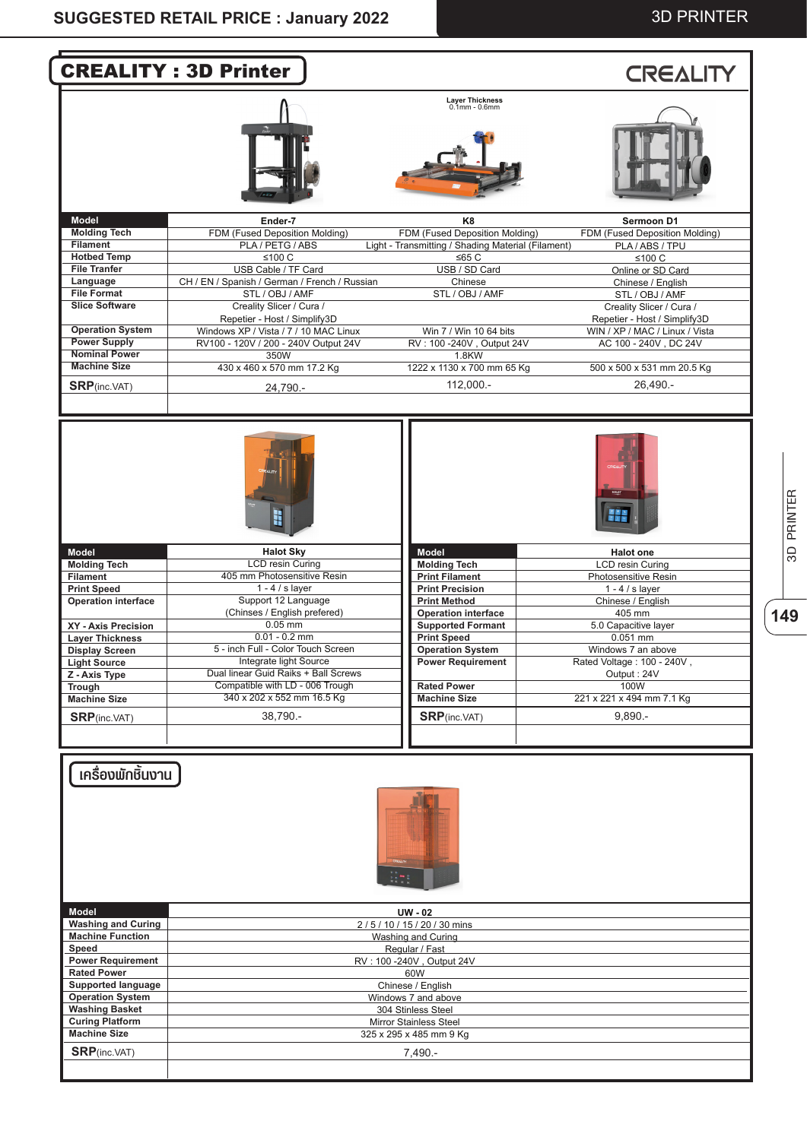#### 3D PRINTER



**149**3D PRINTER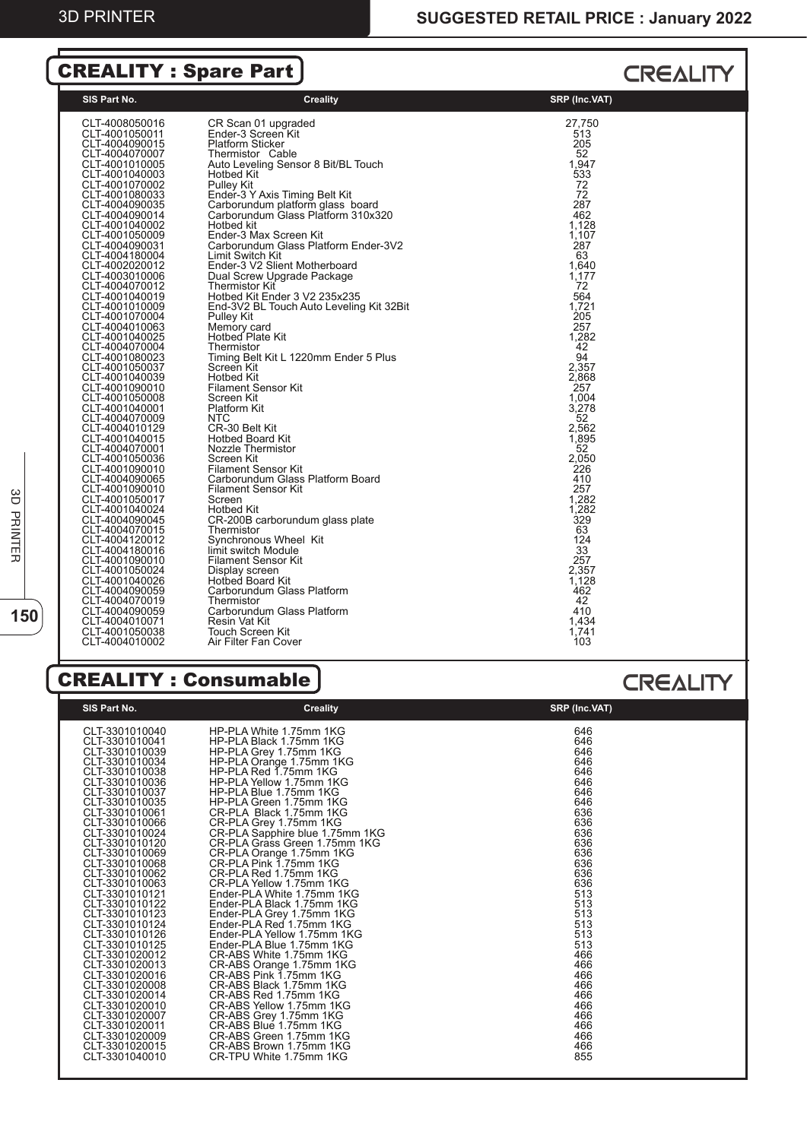## CREALITY : Spare Part

#### **CREALITY**

| 27.750<br>CLT-4008050016<br>CR Scan 01 upgraded<br>Ender-3 Screen Kit<br>513<br>CLT-4001050011<br><b>Platform Sticker</b><br>205<br>CLT-4004090015<br>CLT-4004070007<br>Thermistor Cable<br>52<br>Auto Leveling Sensor 8 Bit/BL Touch<br>1,947<br>CLT-4001010005<br>533<br>CLT-4001040003<br>Hotbed Kit<br>CLT-4001070002<br>Pulley Kit<br>72<br>Ender-3 Y Axis Timing Belt Kit<br>Carborundum platform glass board<br>Carborundum Glass Platform 310x320<br>72<br>CLT-4001080033<br>287<br>CLT-4004090035<br>462<br>CLT-4004090014<br>1,128<br>Hotbed kit<br>CLT-4001040002<br>1,107<br>Ender-3 Max Screen Kit<br>CLT-4001050009<br>287<br>CLT-4004090031<br>Carborundum Glass Platform Ender-3V2<br>63<br>CLT-4004180004<br>Limit Switch Kit<br>Ender-3 V2 Slient Motherboard<br>1,640<br>CLT-4002020012<br>1,177<br>CLT-4003010006<br>Dual Screw Upgrade Package<br>72<br>CLT-4004070012<br>Thermistor Kit<br>Hotbed Kit Ender 3 V2 235x235<br>564<br>CLT-4001040019<br>1,721<br>CLT-4001010009<br>End-3V2 BL Touch Auto Leveling Kit 32Bit<br><b>205</b><br>CLT-4001070004<br>Pulley Kit<br>Memory card<br>257<br>CLT-4004010063<br>Hotbed Plate Kit<br>1,282<br>CLT-4001040025<br>42<br>CLT-4004070004<br>Thermistor<br>94<br>Timing Belt Kit L 1220mm Ender 5 Plus<br>CLT-4001080023<br>2,357<br>CLT-4001050037<br>Screen Kit<br>2,868<br>Hotbed Kit<br>CLT-4001040039<br><b>Filament Sensor Kit</b><br>257<br>CLT-4001090010<br>CLT-4001050008<br>1,004<br>Screen Kit<br>3,278<br>CLT-4001040001<br>Platform Kit<br><b>NTC</b><br>52<br>CLT-4004070009<br>CR-30 Belt Kit<br>2,562<br>CLT-4004010129<br>1,895<br>CLT-4001040015<br><b>Hotbed Board Kit</b><br>Nozzle Thermistor<br>52<br>CLT-4004070001<br>2.050<br>CLT-4001050036<br>Screen Kit<br>226<br>CLT-4001090010<br><b>Filament Sensor Kit</b><br>Carborundum Glass Platform Board<br>410<br>CLT-4004090065<br>257<br>CLT-4001090010<br><b>Filament Sensor Kit</b><br>1,282<br>CLT-4001050017<br>Screen<br>1,282<br>CLT-4001040024<br>Hotbed Kit<br>329<br>CLT-4004090045<br>CR-200B carborundum glass plate<br>63<br>CLT-4004070015<br>Thermistor<br>124<br>Synchronous Wheel Kit<br>CLT-4004120012<br>33<br>limit switch Module<br>CLT-4004180016<br>257<br><b>Filament Sensor Kit</b><br>CLT-4001090010<br>2,357<br>CLT-4001050024<br>Display screen<br>Hotbed Board Kit<br>1.128<br>CLT-4001040026<br>Carborundum Glass Platform<br>462<br>CLT-4004090059<br>42<br>Thermistor<br>CLT-4004070019<br>410<br>CLT-4004090059<br>Carborundum Glass Platform<br>Resin Vat Kit<br>1,434<br>CLT-4004010071<br>1,741<br>Touch Screen Kit<br>CLT-4001050038<br>103<br>CLT-4004010002<br>Air Filter Fan Cover |
|-----------------------------------------------------------------------------------------------------------------------------------------------------------------------------------------------------------------------------------------------------------------------------------------------------------------------------------------------------------------------------------------------------------------------------------------------------------------------------------------------------------------------------------------------------------------------------------------------------------------------------------------------------------------------------------------------------------------------------------------------------------------------------------------------------------------------------------------------------------------------------------------------------------------------------------------------------------------------------------------------------------------------------------------------------------------------------------------------------------------------------------------------------------------------------------------------------------------------------------------------------------------------------------------------------------------------------------------------------------------------------------------------------------------------------------------------------------------------------------------------------------------------------------------------------------------------------------------------------------------------------------------------------------------------------------------------------------------------------------------------------------------------------------------------------------------------------------------------------------------------------------------------------------------------------------------------------------------------------------------------------------------------------------------------------------------------------------------------------------------------------------------------------------------------------------------------------------------------------------------------------------------------------------------------------------------------------------------------------------------------------------------------------------------------------------------------------------------------------------------------------------------------------------------------------------------------------------------------------------------------------------------------------------------------|
|                                                                                                                                                                                                                                                                                                                                                                                                                                                                                                                                                                                                                                                                                                                                                                                                                                                                                                                                                                                                                                                                                                                                                                                                                                                                                                                                                                                                                                                                                                                                                                                                                                                                                                                                                                                                                                                                                                                                                                                                                                                                                                                                                                                                                                                                                                                                                                                                                                                                                                                                                                                                                                                                       |

#### CREALITY : Consumable

# **SIS Part No. CREADING STATE STATE SET ASSESS** OF CREATING STATE STATE STATE STATE STATE STATE STATE STATE STATE STATE STATE STATE STATE STATE STATE STATE STATE STATE STATE STATE STATE STATE STATE STATE STATE STATE STATE CLT-3301010040 HP-PLA White 1.75mm 1KG<br>CLT-3301010041 HP-PLA Black 1.75mm 1KG<br>CLT-3301010039 HP-PLA Grey 1.75mm 1KG<br>CLT-3301010034 HP-PLA Orange 1.75mm 1KG<br>CLT-3301010038 HP-PLA Red 1.75mm 1KG<br>CLT-3301010036 HP-PLA Red 1.7 CLT-3301010035<br>
CLT-3301010066<br>
CLT-3301010066<br>
CR-PLA Grey 1.75mm 1KG<br>
CLT-3301010066<br>
CR-PLA Grey 1.75mm 1KG<br>
CLT-3301010024<br>
CR-PLA Grass Green 1.75mm 1KG<br>
CLT-3301010024<br>
CR-PLA Grass Green 1.75mm 1KG<br>
CLT-3301010068<br> CLT-3301020016 CR-ABS Pink 1.75mm 1KG 466 CLT-3301020008 CR-ABS Black 1.75mm 1KG 466 CLT-3301020014 CR-ABS Red 1.75mm 1KG 466 CLT-3301020010 CR-ABS Yellow 1.75mm 1KG 466 CLT-3301020007 CR-ABS Grey 1.75mm 1KG 466 CLT-3301020011 CR-ABS Blue 1.75mm 1KG<br>CLT-3301020009 CR-ABS Green 1.75mm 1KG<br>CLT-3301020015 CR-ABS Brown 1.75mm 1KG CLT-3301040010 CR-TPU White 1.75mm 1KG 855

#### **CREALITY**